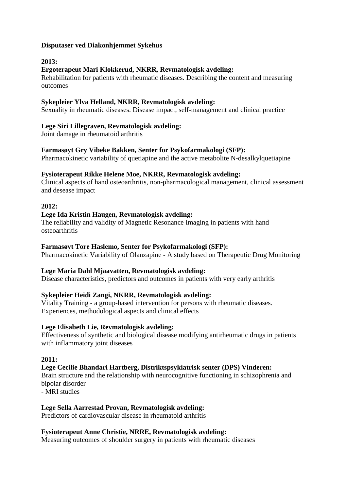## **Disputaser ved Diakonhjemmet Sykehus**

# **2013:**

# **Ergoterapeut Mari Klokkerud, NKRR, Revmatologisk avdeling:**

Rehabilitation for patients with rheumatic diseases. Describing the content and measuring outcomes

#### **Sykepleier Ylva Helland, NKRR, Revmatologisk avdeling:**

Sexuality in rheumatic diseases. Disease impact, self-management and clinical practice

## **Lege Siri Lillegraven, Revmatologisk avdeling:**

Joint damage in rheumatoid arthritis

## **Farmasøyt Gry Vibeke Bakken, Senter for Psykofarmakologi (SFP):**

Pharmacokinetic variability of quetiapine and the active metabolite N-desalkylquetiapine

### **Fysioterapeut Rikke Helene Moe, NKRR, Revmatologisk avdeling:**

Clinical aspects of hand osteoarthritis, non-pharmacological management, clinical assessment and desease impact

### **2012:**

### **Lege Ida Kristin Haugen, Revmatologisk avdeling:**

The reliability and validity of Magnetic Resonance Imaging in patients with hand osteoarthritis

#### **Farmasøyt Tore Haslemo, Senter for Psykofarmakologi (SFP):**

Pharmacokinetic Variability of Olanzapine - A study based on Therapeutic Drug Monitoring

## **Lege Maria Dahl Mjaavatten, Revmatologisk avdeling:**

Disease characteristics, predictors and outcomes in patients with very early arthritis

## **Sykepleier Heidi Zangi, NKRR, Revmatologisk avdeling:**

Vitality Training - a group-based intervention for persons with rheumatic diseases. Experiences, methodological aspects and clinical effects

#### **Lege [Elisabeth Lie, Revmatologisk avdeling:](http://intranett/stream_file.asp?iEntityId=15289)**

Effectiveness of synthetic and biological disease modifying antirheumatic drugs in patients with inflammatory joint diseases

#### **2011:**

## **Lege [Cecilie Bhandari Hartberg, Distriktspsykiatrisk senter \(DPS\) Vinderen:](http://intranett/modules/module_123/proxy.asp?D=2&C=422&I=9679)**

Brain structure and the relationship with neurocognitive functioning in schizophrenia and bipolar disorder

- MRI studies

#### **Lege [Sella Aarrestad Provan, Revmatologisk avdeling:](http://intranett/modules/module_123/proxy.asp?iCategoryId=4&iInfoId=9531&iDisplayType=2&mid=)**

Predictors of cardiovascular disease in rheumatoid arthritis

#### **Fysioterapeut [Anne Christie, NRRE, Revmatologisk avdeling:](http://intranett/modules/module_123/proxy.asp?D=2&C=4&I=9083)**

Measuring outcomes of shoulder surgery in patients with rheumatic diseases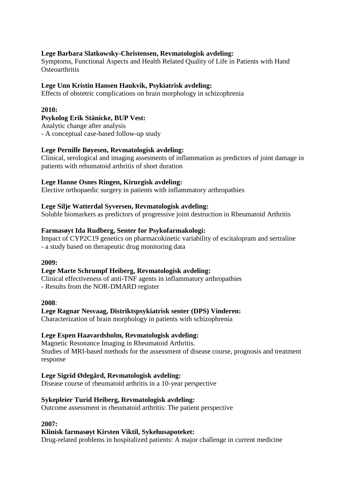## **Lege [Barbara Slatkowsky-Christensen, Revmatologisk avdeling:](http://intranett/modules/module_123/proxy.asp?D=2&C=4&I=8700)**

Symptoms, Functional Aspects and Health Related Quality of Life in Patients with Hand **Osteoarthritis** 

#### **Lege [Unn Kristin Hansen Haukvik, Psykiatrisk avdeling:](http://intranett/modules/module_123/proxy.asp?D=2&C=4&I=8700)**

Effects of obstetric complications on brain morphology in schizophrenia

#### **2010:**

#### **Psykolog [Erik Stänicke, BUP Vest:](http://intranett/modules/module_123/proxy.asp?D=2&C=4&I=7931)**

Analytic change after analysis - A conceptual case-based follow-up study

#### **Lege [Pernille Bøyesen, Revmatologisk avdeling:](http://intranett/modules/module_123/proxy.asp?D=2&C=4&I=7914)**

Clinical, serological and imaging assesments of inflammation as predictors of joint damage in patients with rehumatoid arthritis of short duration

### **Lege [Hanne Osnes Ringen, Kirurgisk avdeling:](http://intranett/modules/module_123/proxy.asp?D=2&C=4&I=7914)**

Elective orthopaedic surgery in patients with inflammatory arthropathies

#### **Lege [Silje Watterdal Syversen, Revmatologisk avdeling:](http://intranett/modules/module_123/proxy.asp?D=2&C=4&I=7914)**

Soluble biomarkers as predictors of progressive joint destruction in Rheumatoid Arthritis

#### **Farmasøyt [Ida Rudberg, Senter for Psykofarmakologi:](http://intranett/modules/module_123/proxy.asp?D=2&C=422&I=7458)**

Impact of CYP2C19 genetics on pharmacokinetic variability of escitalopram and sertraline - a study based on therapeutic drug monitoring data

#### **2009:**

#### **Lege [Marte Schrumpf Heiberg, Revmatologisk avdeling:](http://intranett/modules/module_123/proxy.asp?D=2&C=4&I=6257)**

Clinical effectiveness of anti-TNF agents in inflammatory arthropathies - Results from the NOR-DMARD register

**2008**:

#### **Lege [Ragnar Nesvaag, Distriktspsykiatrisk senter \(DPS\)](http://intranett/modules/module_123/proxy.asp?I=5599&C=4&D=2) Vinderen:**

Characterization of brain morphology in patients with schizophrenia

#### **Lege [Espen Haavardsholm, Revmatologisk avdeling:](http://intranett/modules/module_123/proxy.asp?I=5480&C=4&D=2)**

Magnetic Resonance Imaging in Rheumatoid Arthritis. Studies of MRI-based methods for the assessment of disease course, prognosis and treatment response

#### **Lege [Sigrid Ødegård, Revmatologisk avdeling:](http://intranett/modules/module_123/proxy.asp?I=5380&C=4&D=2)**

Disease course of rheumatoid arthritis in a 10-year perspective

#### **Sykepleier Turid Heiberg, Revmatologisk avdeling:**

Outcome assessment in rheumatoid arthritis: The patient perspective

#### **2007:**

#### **Klinisk farmasøyt [Kirsten Viktil, Sykehusapoteket:](http://intranett/modules/module_123/proxy.asp?D=2&C=422&I=3485)**

Drug-related problems in hospitalized patients: A major challenge in current medicine